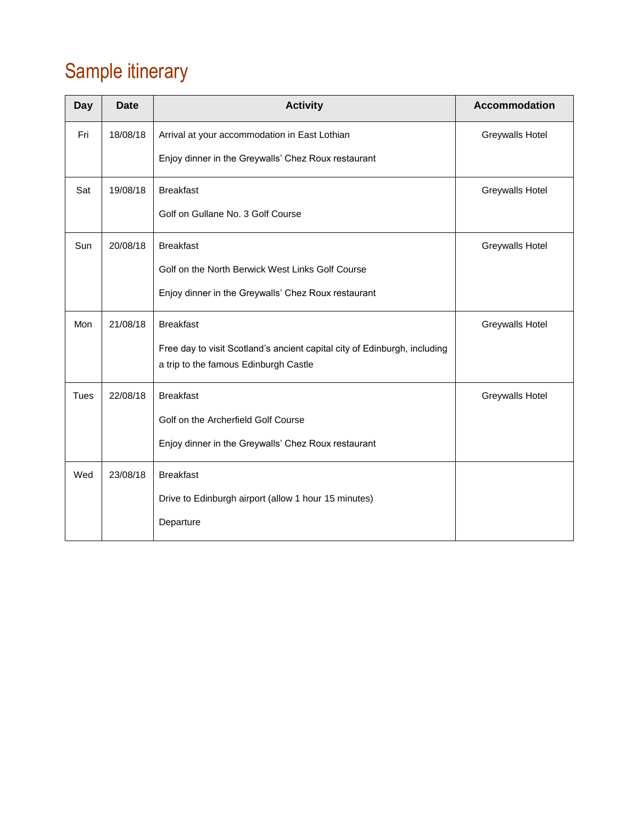# Sample itinerary

| <b>Day</b>  | Date     | <b>Activity</b>                                                           | Accommodation          |
|-------------|----------|---------------------------------------------------------------------------|------------------------|
| Fri         | 18/08/18 | Arrival at your accommodation in East Lothian                             | <b>Greywalls Hotel</b> |
|             |          | Enjoy dinner in the Greywalls' Chez Roux restaurant                       |                        |
| Sat         | 19/08/18 | <b>Breakfast</b>                                                          | <b>Greywalls Hotel</b> |
|             |          | Golf on Gullane No. 3 Golf Course                                         |                        |
| Sun         | 20/08/18 | <b>Breakfast</b><br>Greywalls Hotel                                       |                        |
|             |          | Golf on the North Berwick West Links Golf Course                          |                        |
|             |          | Enjoy dinner in the Greywalls' Chez Roux restaurant                       |                        |
| Mon         | 21/08/18 | <b>Breakfast</b>                                                          | <b>Greywalls Hotel</b> |
|             |          | Free day to visit Scotland's ancient capital city of Edinburgh, including |                        |
|             |          | a trip to the famous Edinburgh Castle                                     |                        |
| <b>Tues</b> | 22/08/18 | <b>Breakfast</b>                                                          | <b>Greywalls Hotel</b> |
|             |          | Golf on the Archerfield Golf Course                                       |                        |
|             |          | Enjoy dinner in the Greywalls' Chez Roux restaurant                       |                        |
| Wed         | 23/08/18 | <b>Breakfast</b>                                                          |                        |
|             |          | Drive to Edinburgh airport (allow 1 hour 15 minutes)                      |                        |
|             |          | Departure                                                                 |                        |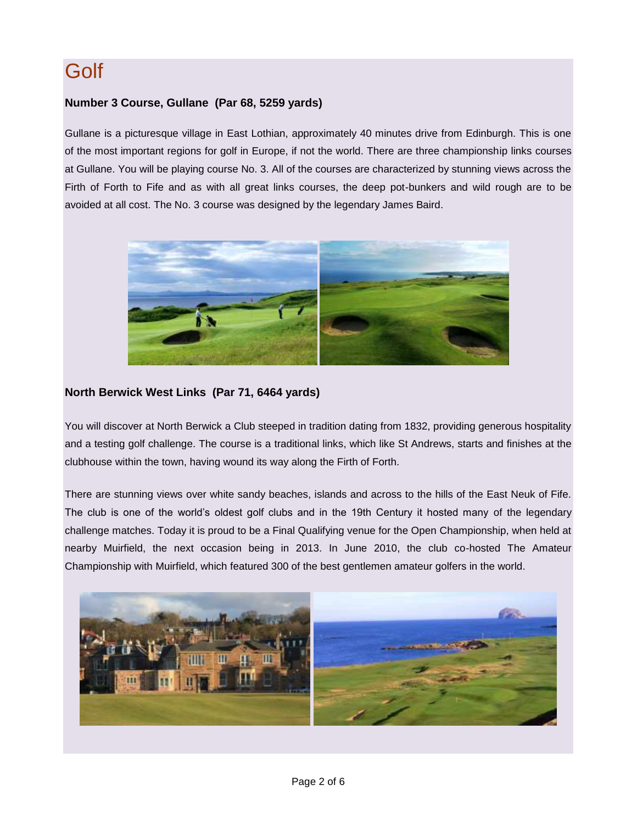# **Golf**

#### **Number 3 Course, Gullane (Par 68, 5259 yards)**

Gullane is a picturesque village in East Lothian, approximately 40 minutes drive from Edinburgh. This is one of the most important regions for golf in Europe, if not the world. There are three championship links courses at Gullane. You will be playing course No. 3. All of the courses are characterized by stunning views across the Firth of Forth to Fife and as with all great links courses, the deep pot-bunkers and wild rough are to be avoided at all cost. The No. 3 course was designed by the legendary James Baird.



#### **North Berwick West Links (Par 71, 6464 yards)**

You will discover at North Berwick a Club steeped in tradition dating from 1832, providing generous hospitality and a testing golf challenge. The course is a [traditional links,](http://www.northberwickgolfclub.com/thecourse.aspx) which like St Andrews, starts and finishes at the [clubhouse](http://www.northberwickgolfclub.com/19_clubhouse.aspx) within the town, having wound its way along the Firth of Forth.

There are stunning views over white sandy beaches, islands and across to the hills of the East Neuk of Fife. The club is one of the world's oldest golf clubs and in the 19th Century it hosted many of the legendary challenge matches. Today it is proud to be a Final Qualifying venue for the Open Championship, when held at nearby Muirfield, the next occasion being in 2013. In June 2010, the club co-hosted The Amateur Championship with Muirfield, which featured 300 of the best gentlemen amateur golfers in the world.

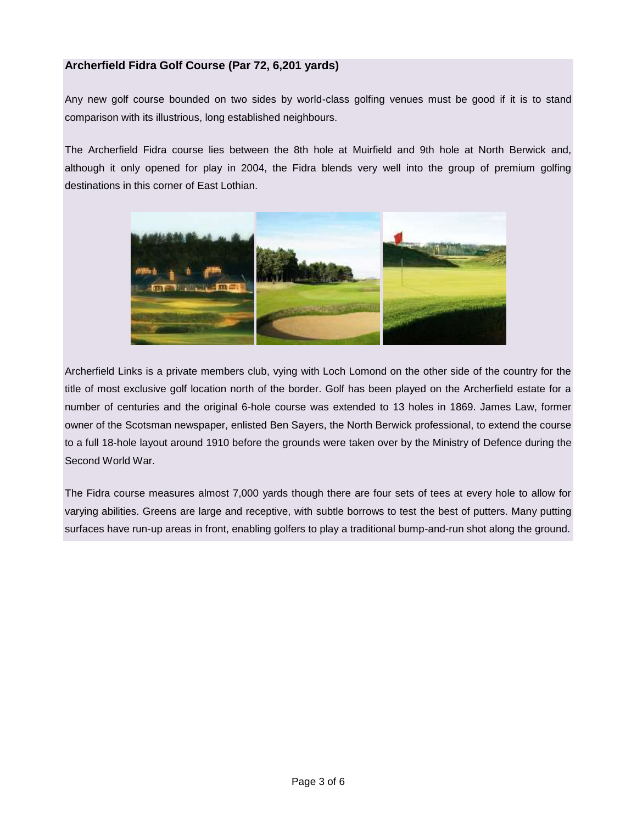#### **Archerfield Fidra Golf Course (Par 72, 6,201 yards)**

Any new golf course bounded on two sides by world-class golfing venues must be good if it is to stand comparison with its illustrious, long established neighbours.

The Archerfield Fidra course lies between the 8th hole at Muirfield and 9th hole at North Berwick and, although it only opened for play in 2004, the Fidra blends very well into the group of premium golfing destinations in this corner of East Lothian.



Archerfield Links is a private members club, vying with Loch Lomond on the other side of the country for the title of most exclusive golf location north of the border. Golf has been played on the Archerfield estate for a number of centuries and the original 6-hole course was extended to 13 holes in 1869. James Law, former owner of the Scotsman newspaper, enlisted Ben Sayers, the North Berwick professional, to extend the course to a full 18-hole layout around 1910 before the grounds were taken over by the Ministry of Defence during the Second World War.

The Fidra course measures almost 7,000 yards though there are four sets of tees at every hole to allow for varying abilities. Greens are large and receptive, with subtle borrows to test the best of putters. Many putting surfaces have run-up areas in front, enabling golfers to play a traditional bump-and-run shot along the ground.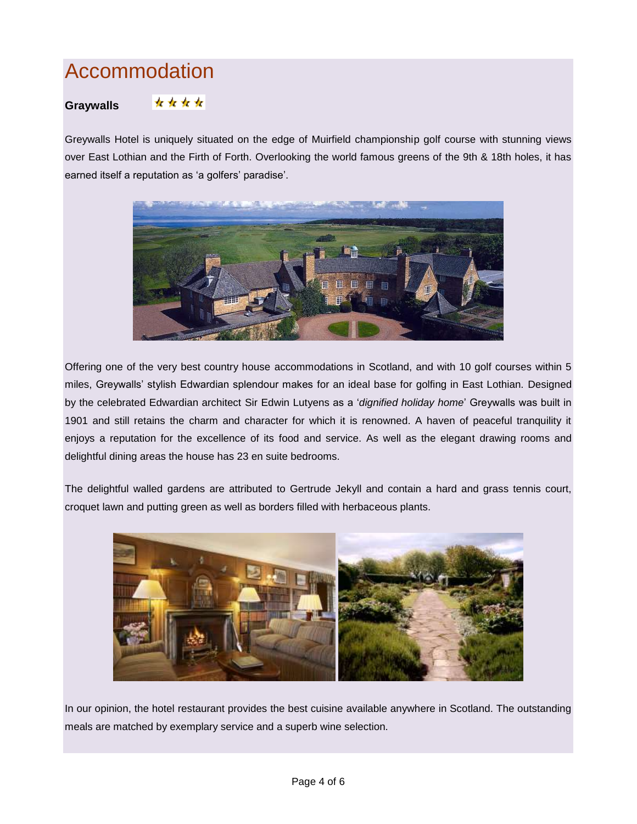# Accommodation

#### \*\*\*\* **Graywalls**

Greywalls Hotel is uniquely situated on the edge of Muirfield championship golf course with stunning views over East Lothian and the Firth of Forth. Overlooking the world famous greens of the 9th & 18th holes, it has earned itself a reputation as 'a golfers' paradise'.



Offering one of the very best country house accommodations in Scotland, and with 10 golf courses within 5 miles, Greywalls' stylish Edwardian splendour makes for an ideal base for golfing in East Lothian. Designed by the celebrated Edwardian architect [Sir Edwin](http://greywalls.co.uk/lutyens.html) Lutyens as a '*dignified holiday home*' Greywalls was built in 1901 and still retains the charm and character for which it is renowned. A haven of peaceful tranquility it enjoys a reputation for the excellence of its food and service. As well as the elegant drawing rooms and delightful dining areas the house has 23 en suite bedrooms.

The delightful walled gardens are attributed to Gertrude Jekyll and contain a hard and grass tennis court, croquet lawn and putting green as well as borders filled with herbaceous plants.



In our opinion, the hotel restaurant provides the best cuisine available anywhere in Scotland. The outstanding meals are matched by exemplary service and a superb wine selection.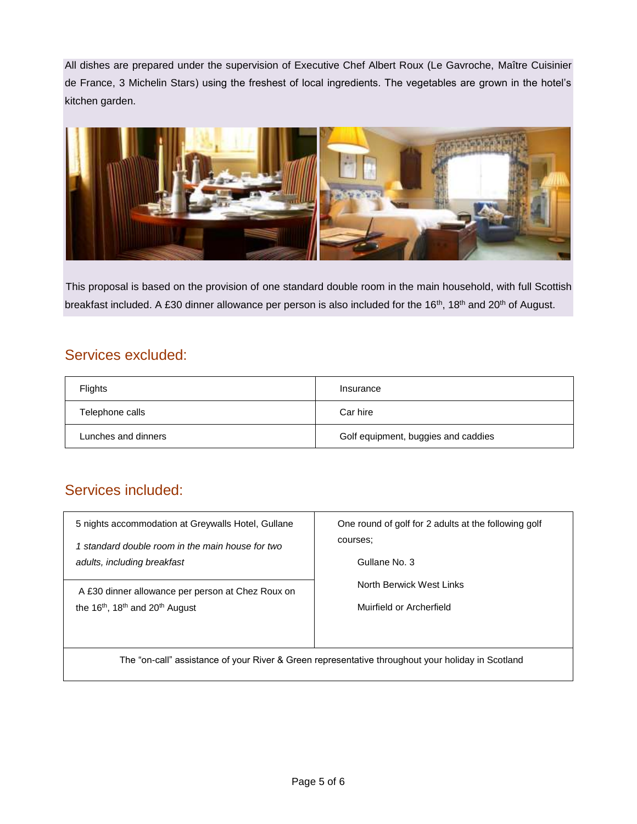All dishes are prepared under the supervision of Executive Chef Albert Roux (Le Gavroche, Maître Cuisinier de France, 3 Michelin Stars) using the freshest of local ingredients. The vegetables are grown in the hotel's kitchen garden.



This proposal is based on the provision of one standard double room in the main household, with full Scottish breakfast included. A £30 dinner allowance per person is also included for the 16<sup>th</sup>, 18<sup>th</sup> and 20<sup>th</sup> of August.

### Services excluded:

| Flights             | Insurance                           |  |
|---------------------|-------------------------------------|--|
| Telephone calls     | Car hire                            |  |
| Lunches and dinners | Golf equipment, buggies and caddies |  |

## Services included:

| 5 nights accommodation at Greywalls Hotel, Gullane                                                | One round of golf for 2 adults at the following golf<br>courses:<br>Gullane No. 3 |  |  |  |
|---------------------------------------------------------------------------------------------------|-----------------------------------------------------------------------------------|--|--|--|
| 1 standard double room in the main house for two<br>adults, including breakfast                   |                                                                                   |  |  |  |
| A £30 dinner allowance per person at Chez Roux on                                                 | North Berwick West Links                                                          |  |  |  |
| the $16th$ , 18 <sup>th</sup> and 20 <sup>th</sup> August                                         | Muirfield or Archerfield                                                          |  |  |  |
|                                                                                                   |                                                                                   |  |  |  |
| The "on-call" assistance of your River & Green representative throughout your holiday in Scotland |                                                                                   |  |  |  |